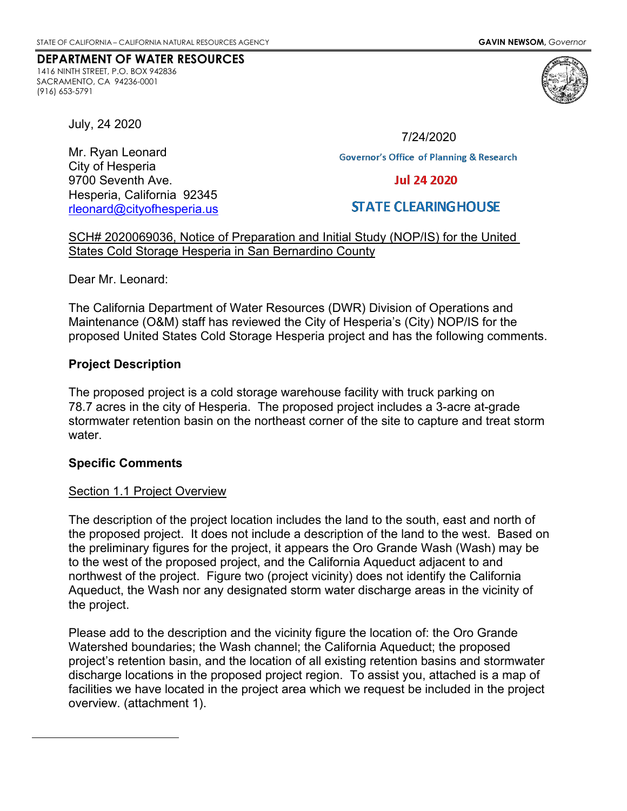#### **DEPARTMENT OF WATER RESOURCES**

1416 NINTH STREET, P.O. BOX 942836 SACRAMENTO, CA 94236-0001 (916) 653-5791



July, 24 2020

Mr. Ryan Leonard City of Hesperia 9700 Seventh Ave. Hesperia, California 92345 [rleonard@cityofhesperia.us](mailto:rleonard@cityofhesperia.us)

7/24/2020**Governor's Office of Planning & Research Jul 24 2020** 

# **STATE CLEARING HOUSE**

SCH# 2020069036, Notice of Preparation and Initial Study (NOP/IS) for the United States Cold Storage Hesperia in San Bernardino County

Dear Mr. Leonard:

The California Department of Water Resources (DWR) Division of Operations and Maintenance (O&M) staff has reviewed the City of Hesperia's (City) NOP/IS for the proposed United States Cold Storage Hesperia project and has the following comments.

### **Project Description**

The proposed project is a cold storage warehouse facility with truck parking on 78.7 acres in the city of Hesperia. The proposed project includes a 3-acre at-grade stormwater retention basin on the northeast corner of the site to capture and treat storm water.

### **Specific Comments**

### Section 1.1 Project Overview

The description of the project location includes the land to the south, east and north of the proposed project. It does not include a description of the land to the west. Based on the preliminary figures for the project, it appears the Oro Grande Wash (Wash) may be to the west of the proposed project, and the California Aqueduct adjacent to and northwest of the project. Figure two (project vicinity) does not identify the California Aqueduct, the Wash nor any designated storm water discharge areas in the vicinity of the project.

Please add to the description and the vicinity figure the location of: the Oro Grande Watershed boundaries; the Wash channel; the California Aqueduct; the proposed project's retention basin, and the location of all existing retention basins and stormwater discharge locations in the proposed project region. To assist you, attached is a map of facilities we have located in the project area which we request be included in the project overview. (attachment 1).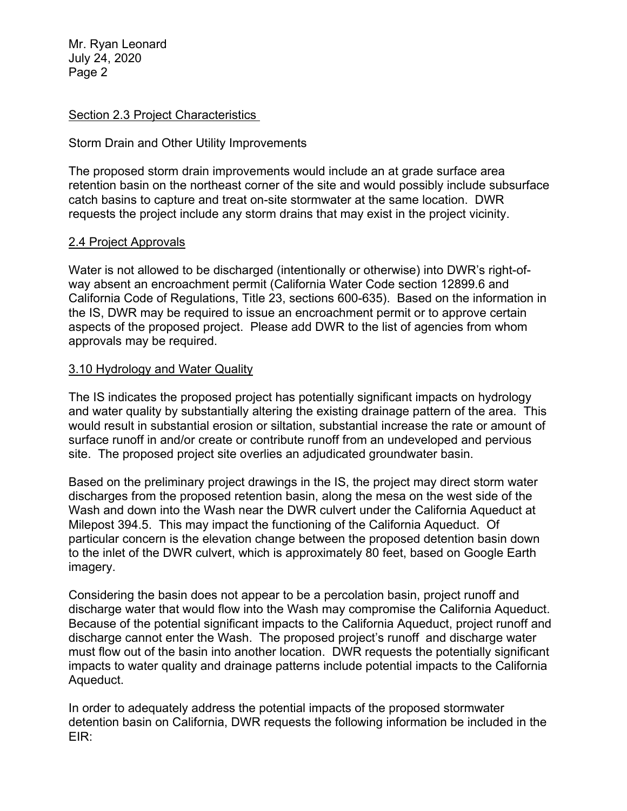Mr. Ryan Leonard July 24, 2020 Page 2

## Section 2.3 Project Characteristics

## Storm Drain and Other Utility Improvements

The proposed storm drain improvements would include an at grade surface area retention basin on the northeast corner of the site and would possibly include subsurface catch basins to capture and treat on-site stormwater at the same location. DWR requests the project include any storm drains that may exist in the project vicinity.

### 2.4 Project Approvals

Water is not allowed to be discharged (intentionally or otherwise) into DWR's right-ofway absent an encroachment permit (California Water Code section 12899.6 and California Code of Regulations, Title 23, sections 600-635). Based on the information in the IS, DWR may be required to issue an encroachment permit or to approve certain aspects of the proposed project. Please add DWR to the list of agencies from whom approvals may be required.

## 3.10 Hydrology and Water Quality

The IS indicates the proposed project has potentially significant impacts on hydrology and water quality by substantially altering the existing drainage pattern of the area. This would result in substantial erosion or siltation, substantial increase the rate or amount of surface runoff in and/or create or contribute runoff from an undeveloped and pervious site. The proposed project site overlies an adjudicated groundwater basin.

Based on the preliminary project drawings in the IS, the project may direct storm water discharges from the proposed retention basin, along the mesa on the west side of the Wash and down into the Wash near the DWR culvert under the California Aqueduct at Milepost 394.5. This may impact the functioning of the California Aqueduct. Of particular concern is the elevation change between the proposed detention basin down to the inlet of the DWR culvert, which is approximately 80 feet, based on Google Earth imagery.

Considering the basin does not appear to be a percolation basin, project runoff and discharge water that would flow into the Wash may compromise the California Aqueduct. Because of the potential significant impacts to the California Aqueduct, project runoff and discharge cannot enter the Wash. The proposed project's runoff and discharge water must flow out of the basin into another location. DWR requests the potentially significant impacts to water quality and drainage patterns include potential impacts to the California Aqueduct.

In order to adequately address the potential impacts of the proposed stormwater detention basin on California, DWR requests the following information be included in the EIR: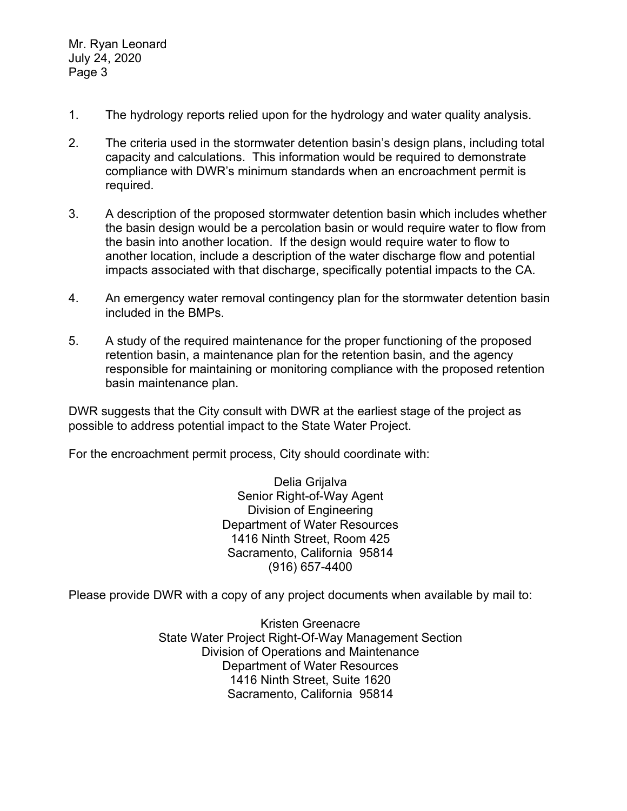Mr. Ryan Leonard July 24, 2020 Page 3

- 1. The hydrology reports relied upon for the hydrology and water quality analysis.
- 2. The criteria used in the stormwater detention basin's design plans, including total capacity and calculations. This information would be required to demonstrate compliance with DWR's minimum standards when an encroachment permit is required.
- 3. A description of the proposed stormwater detention basin which includes whether the basin design would be a percolation basin or would require water to flow from the basin into another location. If the design would require water to flow to another location, include a description of the water discharge flow and potential impacts associated with that discharge, specifically potential impacts to the CA.
- 4. An emergency water removal contingency plan for the stormwater detention basin included in the BMPs.
- 5. A study of the required maintenance for the proper functioning of the proposed retention basin, a maintenance plan for the retention basin, and the agency responsible for maintaining or monitoring compliance with the proposed retention basin maintenance plan.

DWR suggests that the City consult with DWR at the earliest stage of the project as possible to address potential impact to the State Water Project.

For the encroachment permit process, City should coordinate with:

Delia Grijalva Senior Right-of-Way Agent Division of Engineering Department of Water Resources 1416 Ninth Street, Room 425 Sacramento, California 95814 (916) 657-4400

Please provide DWR with a copy of any project documents when available by mail to:

Kristen Greenacre State Water Project Right-Of-Way Management Section Division of Operations and Maintenance Department of Water Resources 1416 Ninth Street, Suite 1620 Sacramento, California 95814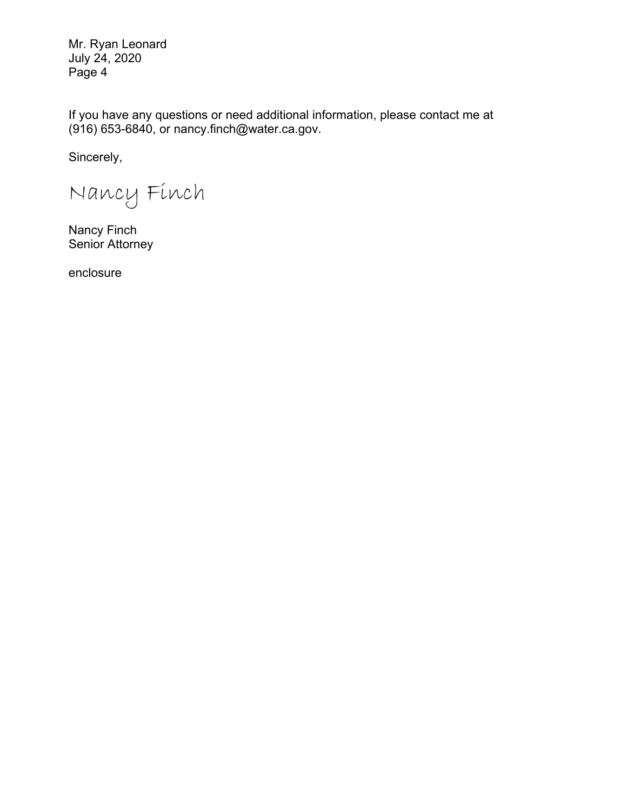Mr. Ryan Leonard July 24, 2020 Page 4

If you have any questions or need additional information, please contact me at (916) 653-6840, or nancy.finch@water.ca.gov.

Sincerely,

Nancy Finch

Nancy Finch Senior Attorney

enclosure